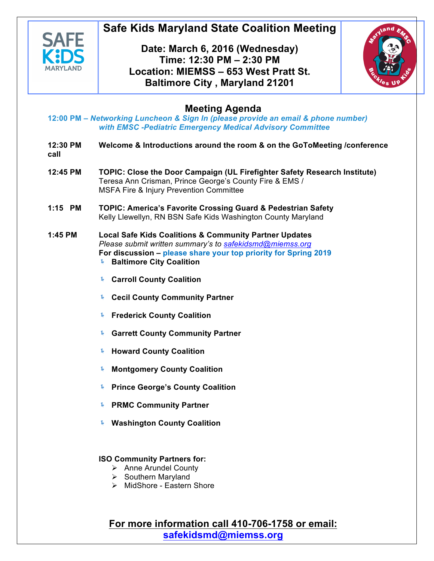

# **Safe Kids Maryland State Coalition Meeting**

# **Date: March 6, 2016 (Wednesday) Time: 12:30 PM – 2:30 PM Location: MIEMSS – 653 West Pratt St. Baltimore City , Maryland 21201**



# **Meeting Agenda**

**12:00 PM –** *Networking Luncheon & Sign In (please provide an email & phone number) with EMSC -Pediatric Emergency Medical Advisory Committee* 

- **12:30 PM Welcome & Introductions around the room & on the GoToMeeting /conference call**
- **12:45 PM TOPIC: Close the Door Campaign (UL Firefighter Safety Research Institute)** Teresa Ann Crisman, Prince George's County Fire & EMS / MSFA Fire & Injury Prevention Committee
- **1:15 PM TOPIC: America's Favorite Crossing Guard & Pedestrian Safety**  Kelly Llewellyn, RN BSN Safe Kids Washington County Maryland
- **1:45 PM Local Safe Kids Coalitions & Community Partner Updates**  *Please submit written summary's to safekidsmd@miemss.org* **For discussion – please share your top priority for Spring 2019**
	- ! **Baltimore City Coalition**
	- ! **Carroll County Coalition**
	- ! **Cecil County Community Partner**
	- **Frederick County Coalition**
	- ! **Garrett County Community Partner**
	- ! **Howard County Coalition**
	- ! **Montgomery County Coalition**
	- ! **Prince George's County Coalition**
	- ! **PRMC Community Partner**
	- ! **Washington County Coalition**

## **ISO Community Partners for:**

- $\triangleright$  Anne Arundel County
- $\triangleright$  Southern Maryland
- $\triangleright$  MidShore Eastern Shore

**For more information call 410-706-1758 or email: safekidsmd@miemss.org**